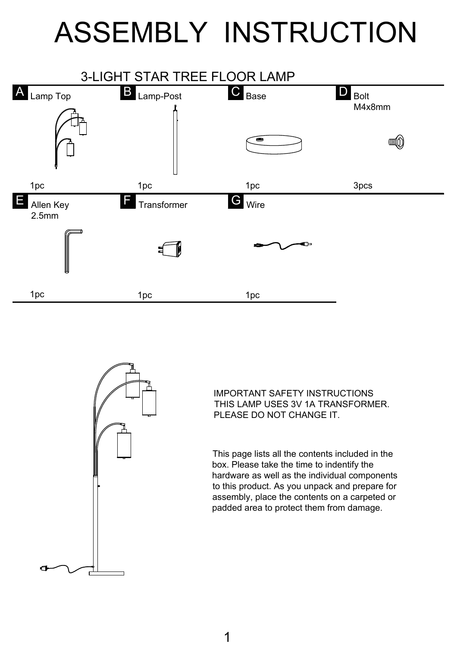## ASSEMBLY INSTRUCTION